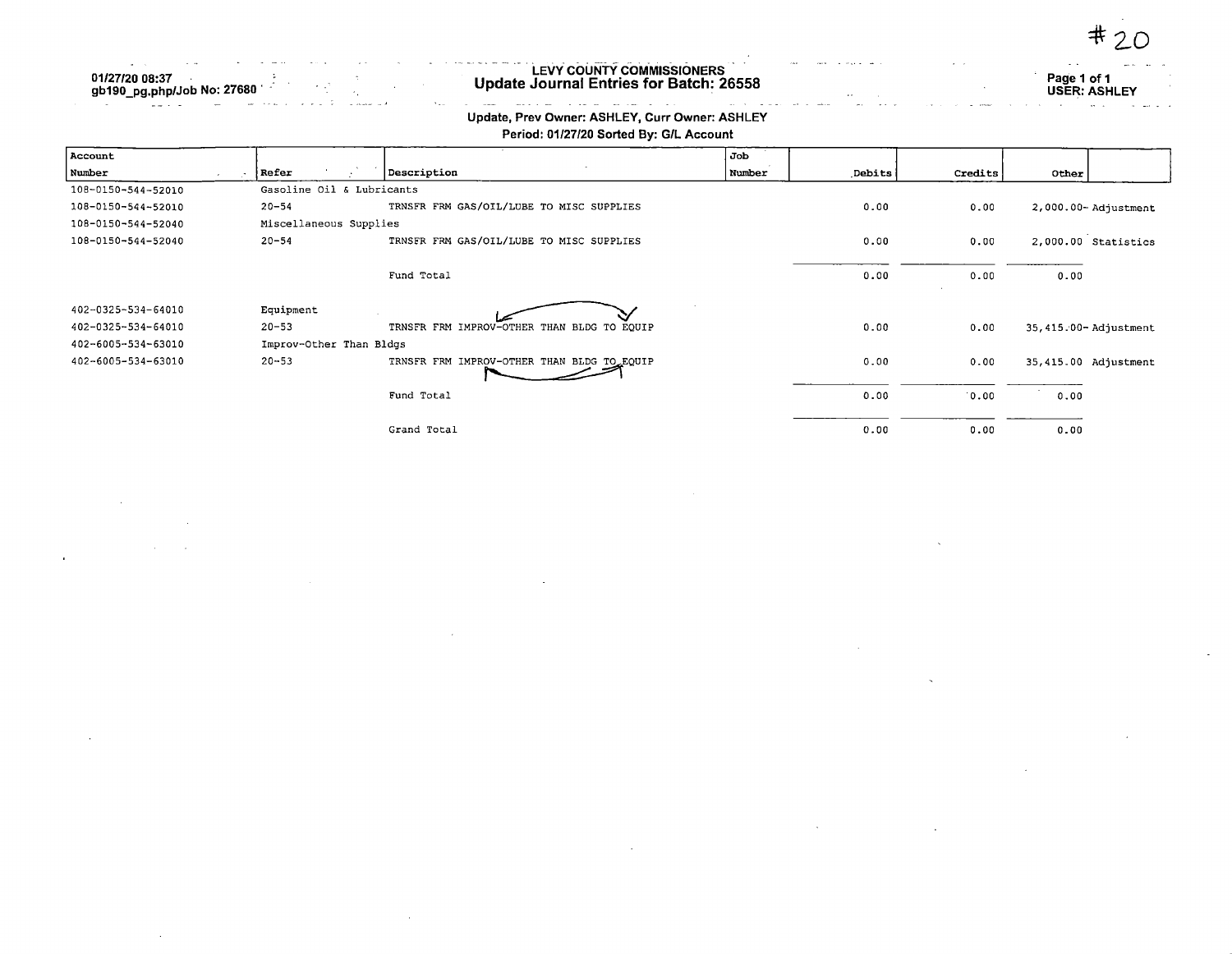| $\sim$ $\sim$    | <u>. In the second contract of the second contract of the second contract of the second contract of the second contract of the second contract of the second contract of the second contract of the second contract of the secon</u><br>the control of the state of the<br>contract the state of the contract of the contract of the contract of the contract of the contract of the contract of the contract of the contract of the contract of the contract of the contract of the contract of the cont | .                                                                              |
|------------------|-----------------------------------------------------------------------------------------------------------------------------------------------------------------------------------------------------------------------------------------------------------------------------------------------------------------------------------------------------------------------------------------------------------------------------------------------------------------------------------------------------------|--------------------------------------------------------------------------------|
|                  | <b>LEVY COUNTY COMMISSIONERS</b>                                                                                                                                                                                                                                                                                                                                                                                                                                                                          | $-1$<br>Page 1 of 1                                                            |
|                  | Update Journal Entries for Batch: 26558<br>$\cdot$ .                                                                                                                                                                                                                                                                                                                                                                                                                                                      | <b>USER: ASHLEY</b>                                                            |
| الأرادين المتحدث | the second contract of the contract of the second contract of the second contract of the second contract of the second contract of the second contract of the second contract of the second contract of the second contract of                                                                                                                                                                                                                                                                            | the company of the contract of the contract of the contract of the contract of |

 $\ddagger$ 

## Update, Prev Owner: ASHLEY, Curr Owner: ASHLEY

01/27/20 08:37 gb190\_pg,php/Job No: 2768C

 $\sim$ 

| Period: 01/27/20 Sorted By: G/L Account |  |
|-----------------------------------------|--|
|-----------------------------------------|--|

| Account            |                           |                                            | Job    |               |         |       |                      |
|--------------------|---------------------------|--------------------------------------------|--------|---------------|---------|-------|----------------------|
| Number             | Refer                     | Description                                | Number | <b>Debits</b> | Credits | Other |                      |
| 108-0150-544-52010 | Gasoline Oil & Lubricants |                                            |        |               |         |       |                      |
| 108-0150-544-52010 | $20 - 54$                 | TRNSFR FRM GAS/OIL/LUBE TO MISC SUPPLIES   |        | 0.00          | 0.00    |       | 2,000.00-Adjustment  |
| 108-0150-544-52040 | Miscellaneous Supplies    |                                            |        |               |         |       |                      |
| 108-0150-544-52040 | $20 - 54$                 | TRNSFR FRM GAS/OIL/LUBE TO MISC SUPPLIES   |        | 0.00          | 0.00    |       | 2,000.00 Statistics  |
|                    |                           | Fund Total                                 |        | 0.00          | 0.00    | 0.00  |                      |
| 402-0325-534-64010 | Equipment                 |                                            |        |               |         |       |                      |
| 402-0325-534-64010 | $20 - 53$                 | TRNSFR FRM IMPROV-OTHER THAN BLDG TO EQUIP |        | 0.00          | 0.00    |       | 35,415.00-Adjustment |
| 402-6005-534-63010 | Improv-Other Than Bldgs   |                                            |        |               |         |       |                      |
| 402-6005-534-63010 | $20 - 53$                 | TRNSFR FRM IMPROV-OTHER THAN BLDG TO EQUIP |        | 0.00          | 0.00    |       | 35,415.00 Adjustment |
|                    |                           | Fund Total                                 |        | 0.00          | 0.00    | 0.00  |                      |
|                    |                           | Grand Total                                |        | 0.00          | 0.00    | 0.00  |                      |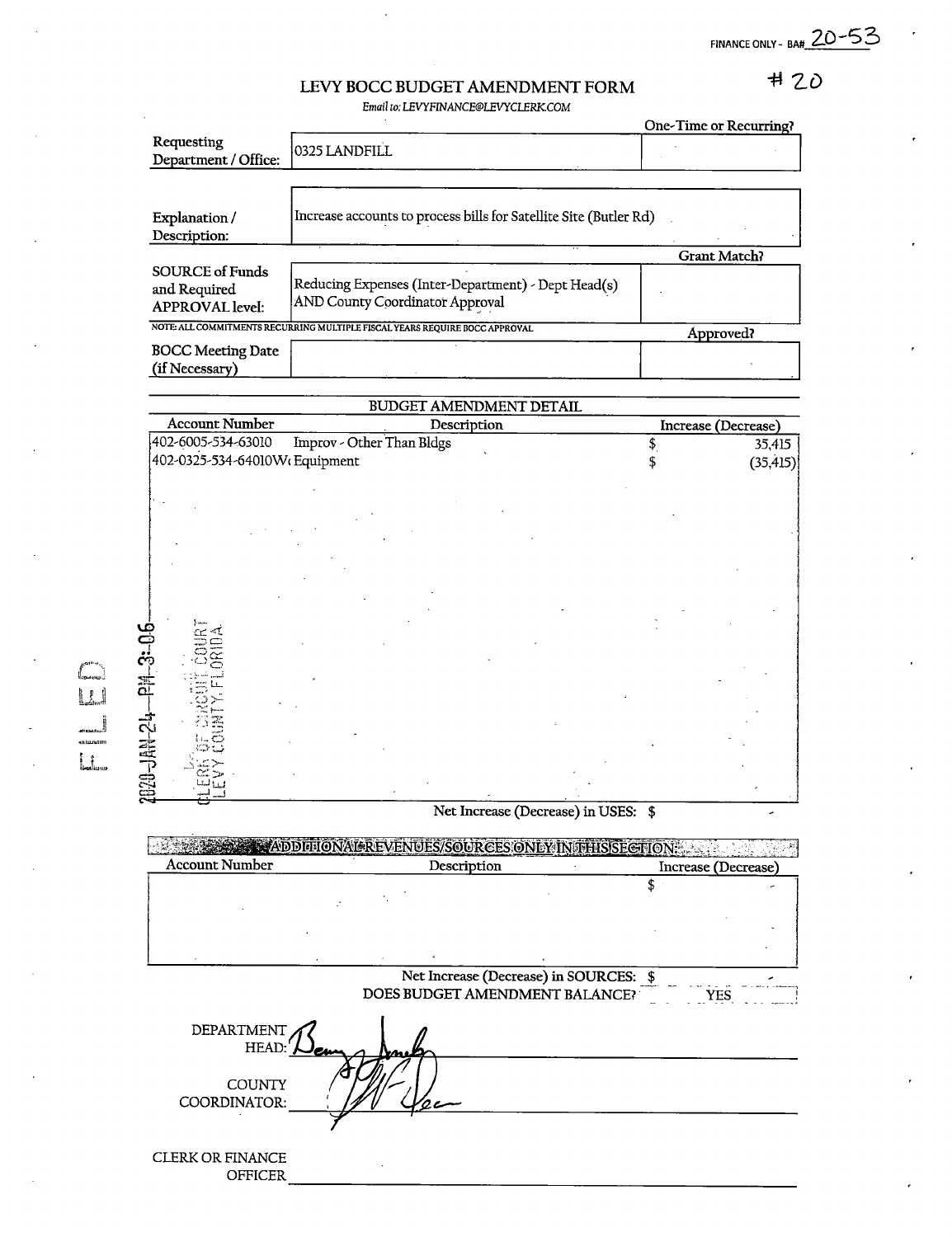FINANCE ONLY - BA# 20-53

## $HZO$

## LEVY BOCC BUDGET AMENDMENT FORM Email to: LEVYFINANCE@LEVYCLERK.COM

|                                                                  |                                                                                        | One-Time or Recurring? |
|------------------------------------------------------------------|----------------------------------------------------------------------------------------|------------------------|
| Requesting<br>Department / Office:                               | 0325 LANDFILL                                                                          |                        |
|                                                                  |                                                                                        |                        |
| Explanation/<br>Description:                                     | Increase accounts to process bills for Satellite Site (Butler Rd)                      |                        |
|                                                                  |                                                                                        | <b>Grant Match?</b>    |
| <b>SOURCE of Funds</b><br>and Required<br><b>APPROVAL</b> level: | Reducing Expenses (Inter-Department) - Dept Head(s)<br>AND County Coordinator Approval |                        |
|                                                                  | NOTE: ALL COMMITMENTS RECURRING MULTIPLE FISCAL YEARS REQUIRE BOCC APPROVAL            | Approved?              |
| <b>BOCC Meeting Date</b><br>(if Necessary)                       |                                                                                        |                        |

|                               | BUDGET AMENDMENT DETAIL   |                     |  |
|-------------------------------|---------------------------|---------------------|--|
| <b>Account Number</b>         | Description               | Increase (Decrease) |  |
| 402-6005-534-63010            | Improv - Other Than Bldgs | \$<br>35,415        |  |
| 402-0325-534-64010WcEquipment |                           | (35, 415)           |  |
|                               |                           |                     |  |
|                               |                           |                     |  |
|                               |                           |                     |  |
|                               |                           |                     |  |
|                               |                           |                     |  |
|                               |                           |                     |  |
|                               |                           |                     |  |
|                               |                           |                     |  |
|                               |                           |                     |  |
| ခဲ့<br>အို                    |                           |                     |  |
|                               |                           |                     |  |
| 뜐                             |                           |                     |  |
|                               |                           |                     |  |
| ಸೆ                            |                           |                     |  |
|                               |                           |                     |  |
| <b>B20-JAN</b>                |                           |                     |  |
|                               |                           |                     |  |

Net Increase (Decrease) in USES: \$

**EXAMPLE APPITIONAL EXECUTIVES/SOURCES ONLY INTERISECTION:** Account Number Description Therease (Decrease)  $\overline{\mathcal{S}}$ Net Increase (Decrease) in SOURCES: \$ DOES BUDGET AMENDMENT BALANCE? DEPARTMENT  $_{\rm HEAD:}\big\in\bigcup_{\boldsymbol{c}}$ au  $\overline{\mathscr{E}}$ **COUNTY** COORDINATOR: CLERK OR FINANCE OFFICER

O

lUittmur